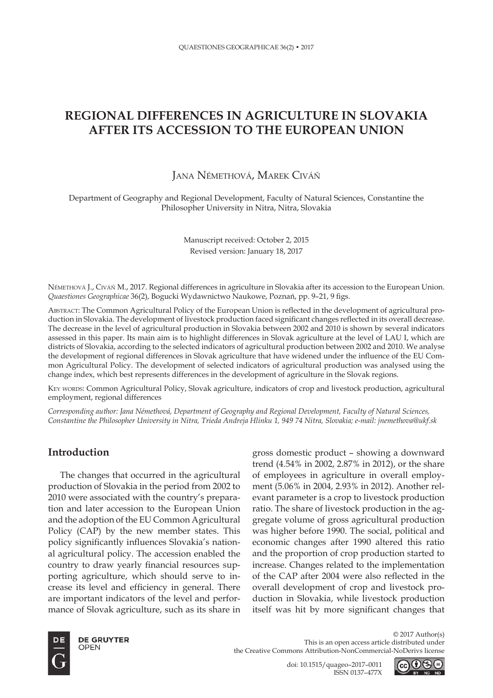# **REGIONAL DIFFERENCES IN AGRICULTURE IN SLOVAKIA AFTER ITS ACCESSION TO THE EUROPEAN UNION**

# Jana Némethová, Marek Civáň

Department of Geography and Regional Development, Faculty of Natural Sciences, Constantine the Philosopher University in Nitra, Nitra, Slovakia

> Manuscript received: October 2, 2015 Revised version: January 18, 2017

Némethová J., Civáň M., 2017. Regional differences in agriculture in Slovakia after its accession to the European Union. *Quaestiones Geographicae* 36(2), Bogucki Wydawnictwo Naukowe, Poznań, pp. 9–21, 9 figs.

Abstract: The Common Agricultural Policy of the European Union is reflected in the development of agricultural production in Slovakia. The development of livestock production faced significant changes reflected in its overall decrease. The decrease in the level of agricultural production in Slovakia between 2002 and 2010 is shown by several indicators assessed in this paper. Its main aim is to highlight differences in Slovak agriculture at the level of LAU I, which are districts of Slovakia, according to the selected indicators of agricultural production between 2002 and 2010. We analyse the development of regional differences in Slovak agriculture that have widened under the influence of the EU Common Agricultural Policy. The development of selected indicators of agricultural production was analysed using the change index, which best represents differences in the development of agriculture in the Slovak regions.

KEY WORDS: Common Agricultural Policy, Slovak agriculture, indicators of crop and livestock production, agricultural employment, regional differences

*Corresponding author: Jana Némethová, Department of Geography and Regional Development, Faculty of Natural Sciences, Constantine the Philosopher University in Nitra, Trieda Andreja Hlinku 1, 949 74 Nitra, Slovakia; e-mail: jnemethova@ukf.sk*

## **Introduction**

The changes that occurred in the agricultural production of Slovakia in the period from 2002 to 2010 were associated with the country's preparation and later accession to the European Union and the adoption of the EU Common Agricultural Policy (CAP) by the new member states. This policy significantly influences Slovakia's national agricultural policy. The accession enabled the country to draw yearly financial resources supporting agriculture, which should serve to increase its level and efficiency in general. There are important indicators of the level and performance of Slovak agriculture, such as its share in

gross domestic product – showing a downward trend (4.54% in 2002, 2.87% in 2012), or the share of employees in agriculture in overall employment (5.06% in 2004, 2.93% in 2012). Another relevant parameter is a crop to livestock production ratio. The share of livestock production in the aggregate volume of gross agricultural production was higher before 1990. The social, political and economic changes after 1990 altered this ratio and the proportion of crop production started to increase. Changes related to the implementation of the CAP after 2004 were also reflected in the overall development of crop and livestock production in Slovakia, while livestock production itself was hit by more significant changes that



© 2017 Author(s) This is an open access article distributed under the Creative Commons Attribution-NonCommercial-NoDerivs license

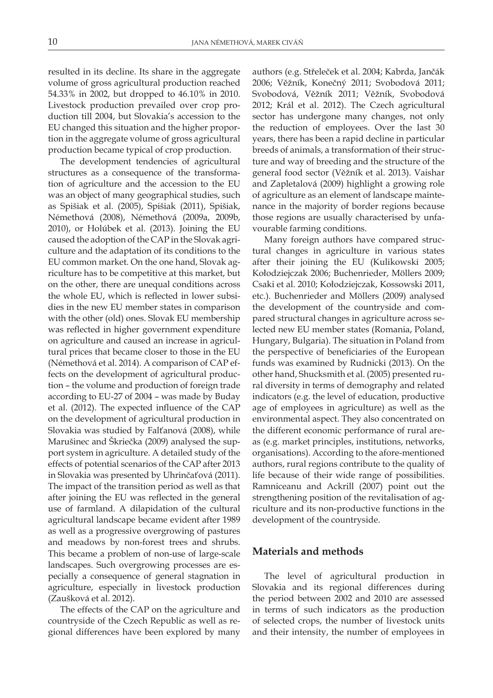resulted in its decline. Its share in the aggregate volume of gross agricultural production reached 54.33% in 2002, but dropped to 46.10% in 2010. Livestock production prevailed over crop production till 2004, but Slovakia's accession to the EU changed this situation and the higher proportion in the aggregate volume of gross agricultural production became typical of crop production.

The development tendencies of agricultural structures as a consequence of the transformation of agriculture and the accession to the EU was an object of many geographical studies, such as Spišiak et al. (2005), Spišiak (2011), Spišiak, Némethová (2008), Némethová (2009a, 2009b, 2010), or Holúbek et al. (2013). Joining the EU caused the adoption of the CAP in the Slovak agriculture and the adaptation of its conditions to the EU common market. On the one hand, Slovak agriculture has to be competitive at this market, but on the other, there are unequal conditions across the whole EU, which is reflected in lower subsidies in the new EU member states in comparison with the other (old) ones. Slovak EU membership was reflected in higher government expenditure on agriculture and caused an increase in agricultural prices that became closer to those in the EU (Némethová et al. 2014). A comparison of CAP effects on the development of agricultural production – the volume and production of foreign trade according to EU-27 of 2004 – was made by Buday et al. (2012). The expected influence of the CAP on the development of agricultural production in Slovakia was studied by Falťanová (2008), while Marušinec and Škriečka (2009) analysed the support system in agriculture. A detailed study of the effects of potential scenarios of the CAP after 2013 in Slovakia was presented by Uhrinčaťová (2011). The impact of the transition period as well as that after joining the EU was reflected in the general use of farmland. A dilapidation of the cultural agricultural landscape became evident after 1989 as well as a progressive overgrowing of pastures and meadows by non-forest trees and shrubs. This became a problem of non-use of large-scale landscapes. Such overgrowing processes are especially a consequence of general stagnation in agriculture, especially in livestock production (Zaušková et al. 2012).

The effects of the CAP on the agriculture and countryside of the Czech Republic as well as regional differences have been explored by many

authors (e.g. Střeleček et al. 2004; Kabrda, Jančák 2006; Věžník, Konečný 2011; Svobodová 2011; Svobodová, Věžník 2011; Věžník, Svobodová 2012; Král et al. 2012). The Czech agricultural sector has undergone many changes, not only the reduction of employees. Over the last 30 years, there has been a rapid decline in particular breeds of animals, a transformation of their structure and way of breeding and the structure of the general food sector (Věžník et al. 2013). Vaishar and Zapletalová (2009) highlight a growing role of agriculture as an element of landscape maintenance in the majority of border regions because those regions are usually characterised by unfavourable farming conditions.

Many foreign authors have compared structural changes in agriculture in various states after their joining the EU (Kulikowski 2005; Kołodziejczak 2006; Buchenrieder, Möllers 2009; Csaki et al. 2010; Kołodziejczak, Kossowski 2011, etc.). Buchenrieder and Möllers (2009) analysed the development of the countryside and compared structural changes in agriculture across selected new EU member states (Romania, Poland, Hungary, Bulgaria). The situation in Poland from the perspective of beneficiaries of the European funds was examined by Rudnicki (2013). On the other hand, Shucksmith et al. (2005) presented rural diversity in terms of demography and related indicators (e.g. the level of education, productive age of employees in agriculture) as well as the environmental aspect. They also concentrated on the different economic performance of rural areas (e.g. market principles, institutions, networks, organisations). According to the afore-mentioned authors, rural regions contribute to the quality of life because of their wide range of possibilities. Ramniceanu and Ackrill (2007) point out the strengthening position of the revitalisation of agriculture and its non-productive functions in the development of the countryside.

#### **Materials and methods**

The level of agricultural production in Slovakia and its regional differences during the period between 2002 and 2010 are assessed in terms of such indicators as the production of selected crops, the number of livestock units and their intensity, the number of employees in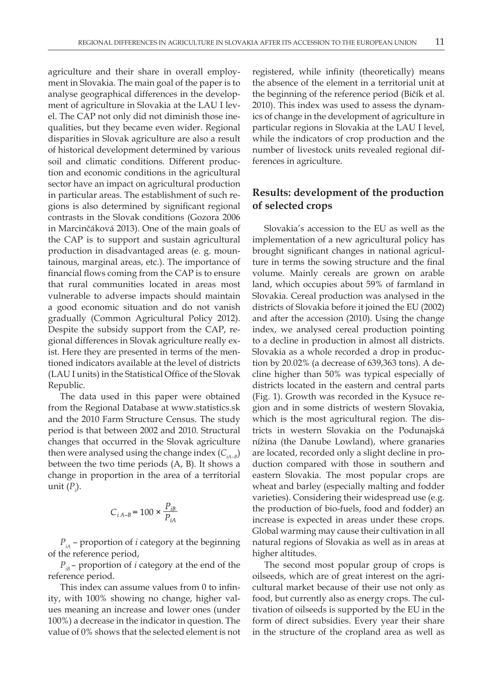agriculture and their share in overall employment in Slovakia. The main goal of the paper is to analyse geographical differences in the development of agriculture in Slovakia at the LAU I level. The CAP not only did not diminish those inequalities, but they became even wider. Regional disparities in Slovak agriculture are also a result of historical development determined by various soil and climatic conditions. Different production and economic conditions in the agricultural sector have an impact on agricultural production in particular areas. The establishment of such regions is also determined by significant regional contrasts in the Slovak conditions (Gozora 2006 in Marcinčáková 2013). One of the main goals of the CAP is to support and sustain agricultural production in disadvantaged areas (e. g. mountainous, marginal areas, etc.). The importance of financial flows coming from the CAP is to ensure that rural communities located in areas most vulnerable to adverse impacts should maintain a good economic situation and do not vanish gradually (Common Agricultural Policy 2012). Despite the subsidy support from the CAP, regional differences in Slovak agriculture really exist. Here they are presented in terms of the mentioned indicators available at the level of districts (LAU I units) in the Statistical Office of the Slovak Republic.

The data used in this paper were obtained from the Regional Database at www.statistics.sk and the 2010 Farm Structure Census. The study period is that between 2002 and 2010. Structural changes that occurred in the Slovak agriculture then were analysed using the change index  $(C_{A-B})$ between the two time periods (A, B). It shows a change in proportion in the area of a territorial unit (*Pi* ).

$$
C_{iA-B} = 100 \times \frac{P_{iB}}{P_{iA}}
$$

 $P_{iA}$  – proportion of *i* category at the beginning of the reference period,

 $P_{iB}$  – proportion of *i* category at the end of the reference period.

This index can assume values from 0 to infinity, with 100% showing no change, higher values meaning an increase and lower ones (under 100%) a decrease in the indicator in question. The value of 0% shows that the selected element is not registered, while infinity (theoretically) means the absence of the element in a territorial unit at the beginning of the reference period (Bičík et al. 2010). This index was used to assess the dynamics of change in the development of agriculture in particular regions in Slovakia at the LAU I level, while the indicators of crop production and the number of livestock units revealed regional differences in agriculture.

### **Results: development of the production of selected crops**

Slovakia's accession to the EU as well as the implementation of a new agricultural policy has brought significant changes in national agriculture in terms the sowing structure and the final volume. Mainly cereals are grown on arable land, which occupies about 59% of farmland in Slovakia. Cereal production was analysed in the districts of Slovakia before it joined the EU (2002) and after the accession (2010). Using the change index, we analysed cereal production pointing to a decline in production in almost all districts. Slovakia as a whole recorded a drop in production by 20.02% (a decrease of 639,363 tons). A decline higher than 50% was typical especially of districts located in the eastern and central parts (Fig. 1). Growth was recorded in the Kysuce region and in some districts of western Slovakia, which is the most agricultural region. The districts in western Slovakia on the Podunajská nížina (the Danube Lowland), where granaries are located, recorded only a slight decline in production compared with those in southern and eastern Slovakia. The most popular crops are wheat and barley (especially malting and fodder varieties). Considering their widespread use (e.g. the production of bio-fuels, food and fodder) an increase is expected in areas under these crops. Global warming may cause their cultivation in all natural regions of Slovakia as well as in areas at higher altitudes.

The second most popular group of crops is oilseeds, which are of great interest on the agricultural market because of their use not only as food, but currently also as energy crops. The cultivation of oilseeds is supported by the EU in the form of direct subsidies. Every year their share in the structure of the cropland area as well as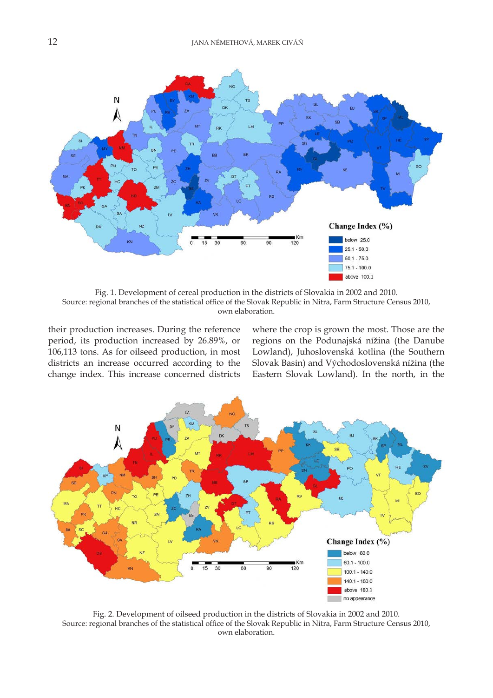

Fig. 1. Development of cereal production in the districts of Slovakia in 2002 and 2010. Source: regional branches of the statistical office of the Slovak Republic in Nitra, Farm Structure Census 2010, own elaboration.

their production increases. During the reference period, its production increased by 26.89%, or 106,113 tons. As for oilseed production, in most districts an increase occurred according to the change index. This increase concerned districts

where the crop is grown the most. Those are the regions on the Podunajská nížina (the Danube Lowland), Juhoslovenská kotlina (the Southern Slovak Basin) and Východoslovenská nížina (the Eastern Slovak Lowland). In the north, in the



Fig. 2. Development of oilseed production in the districts of Slovakia in 2002 and 2010. Source: regional branches of the statistical office of the Slovak Republic in Nitra, Farm Structure Census 2010, own elaboration.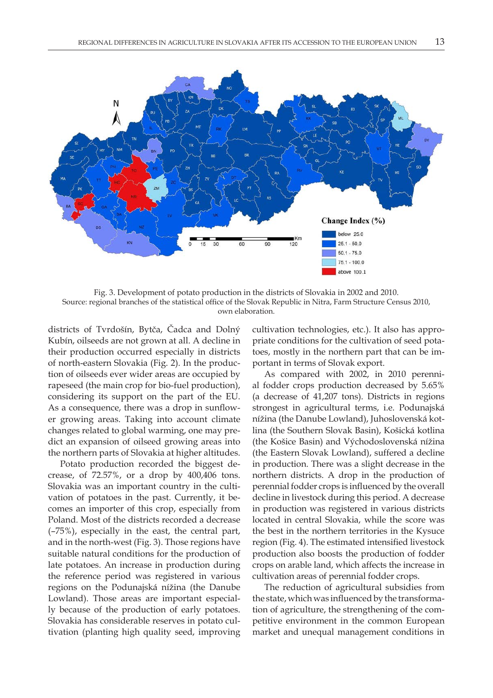

Fig. 3. Development of potato production in the districts of Slovakia in 2002 and 2010. Source: regional branches of the statistical office of the Slovak Republic in Nitra, Farm Structure Census 2010, own elaboration.

districts of Tvrdošín, Bytča, Čadca and Dolný Kubín, oilseeds are not grown at all. A decline in their production occurred especially in districts of north-eastern Slovakia (Fig. 2). In the production of oilseeds ever wider areas are occupied by rapeseed (the main crop for bio-fuel production), considering its support on the part of the EU. As a consequence, there was a drop in sunflower growing areas. Taking into account climate changes related to global warming, one may predict an expansion of oilseed growing areas into the northern parts of Slovakia at higher altitudes.

Potato production recorded the biggest decrease, of 72.57%, or a drop by 400,406 tons. Slovakia was an important country in the cultivation of potatoes in the past. Currently, it becomes an importer of this crop, especially from Poland. Most of the districts recorded a decrease (–75%), especially in the east, the central part, and in the north-west (Fig. 3). Those regions have suitable natural conditions for the production of late potatoes. An increase in production during the reference period was registered in various regions on the Podunajská nížina (the Danube Lowland). Those areas are important especially because of the production of early potatoes. Slovakia has considerable reserves in potato cultivation (planting high quality seed, improving

cultivation technologies, etc.). It also has appropriate conditions for the cultivation of seed potatoes, mostly in the northern part that can be important in terms of Slovak export.

As compared with 2002, in 2010 perennial fodder crops production decreased by 5.65% (a decrease of 41,207 tons). Districts in regions strongest in agricultural terms, i.e. Podunajská nížina (the Danube Lowland), Juhoslovenská kotlina (the Southern Slovak Basin), Košická kotlina (the Košice Basin) and Východoslovenská nížina (the Eastern Slovak Lowland), suffered a decline in production. There was a slight decrease in the northern districts. A drop in the production of perennial fodder crops is influenced by the overall decline in livestock during this period. A decrease in production was registered in various districts located in central Slovakia, while the score was the best in the northern territories in the Kysuce region (Fig. 4). The estimated intensified livestock production also boosts the production of fodder crops on arable land, which affects the increase in cultivation areas of perennial fodder crops.

The reduction of agricultural subsidies from the state, which was influenced by the transformation of agriculture, the strengthening of the competitive environment in the common European market and unequal management conditions in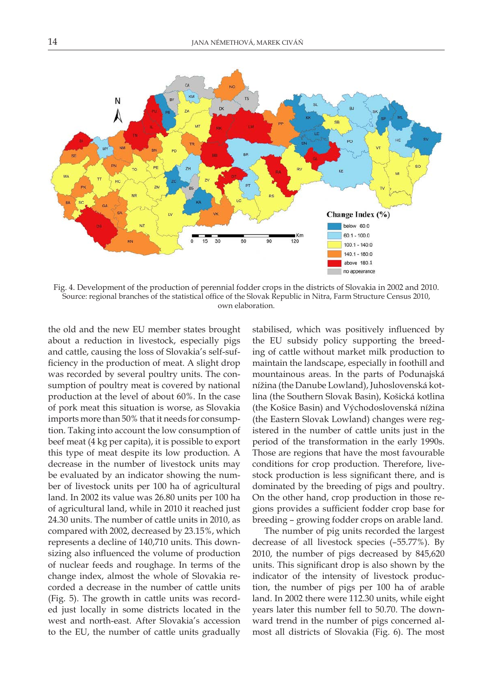

Fig. 4. Development of the production of perennial fodder crops in the districts of Slovakia in 2002 and 2010. Source: regional branches of the statistical office of the Slovak Republic in Nitra, Farm Structure Census 2010, own elaboration.

the old and the new EU member states brought about a reduction in livestock, especially pigs and cattle, causing the loss of Slovakia's self-sufficiency in the production of meat. A slight drop was recorded by several poultry units. The consumption of poultry meat is covered by national production at the level of about 60%. In the case of pork meat this situation is worse, as Slovakia imports more than 50% that it needs for consumption. Taking into account the low consumption of beef meat (4 kg per capita), it is possible to export this type of meat despite its low production. A decrease in the number of livestock units may be evaluated by an indicator showing the number of livestock units per 100 ha of agricultural land. In 2002 its value was 26.80 units per 100 ha of agricultural land, while in 2010 it reached just 24.30 units. The number of cattle units in 2010, as compared with 2002, decreased by 23.15%, which represents a decline of 140,710 units. This downsizing also influenced the volume of production of nuclear feeds and roughage. In terms of the change index, almost the whole of Slovakia recorded a decrease in the number of cattle units (Fig. 5). The growth in cattle units was recorded just locally in some districts located in the west and north-east. After Slovakia's accession to the EU, the number of cattle units gradually

stabilised, which was positively influenced by the EU subsidy policy supporting the breeding of cattle without market milk production to maintain the landscape, especially in foothill and mountainous areas. In the parts of Podunajská nížina (the Danube Lowland), Juhoslovenská kotlina (the Southern Slovak Basin), Košická kotlina (the Košice Basin) and Východoslovenská nížina (the Eastern Slovak Lowland) changes were registered in the number of cattle units just in the period of the transformation in the early 1990s. Those are regions that have the most favourable conditions for crop production. Therefore, livestock production is less significant there, and is dominated by the breeding of pigs and poultry. On the other hand, crop production in those regions provides a sufficient fodder crop base for breeding – growing fodder crops on arable land.

The number of pig units recorded the largest decrease of all livestock species (–55.77%). By 2010, the number of pigs decreased by 845,620 units. This significant drop is also shown by the indicator of the intensity of livestock production, the number of pigs per 100 ha of arable land. In 2002 there were 112.30 units, while eight years later this number fell to 50.70. The downward trend in the number of pigs concerned almost all districts of Slovakia (Fig. 6). The most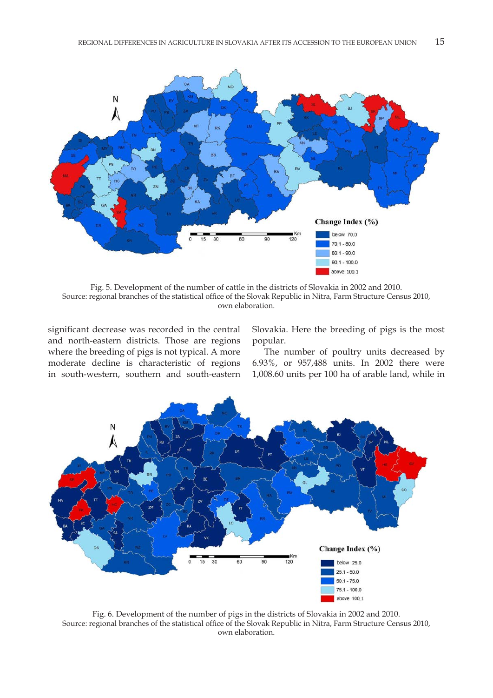

Fig. 5. Development of the number of cattle in the districts of Slovakia in 2002 and 2010. Source: regional branches of the statistical office of the Slovak Republic in Nitra, Farm Structure Census 2010, own elaboration.

significant decrease was recorded in the central and north-eastern districts. Those are regions where the breeding of pigs is not typical. A more moderate decline is characteristic of regions in south-western, southern and south-eastern

Slovakia. Here the breeding of pigs is the most popular.

The number of poultry units decreased by 6.93%, or 957,488 units. In 2002 there were 1,008.60 units per 100 ha of arable land, while in



Fig. 6. Development of the number of pigs in the districts of Slovakia in 2002 and 2010. Source: regional branches of the statistical office of the Slovak Republic in Nitra, Farm Structure Census 2010, own elaboration.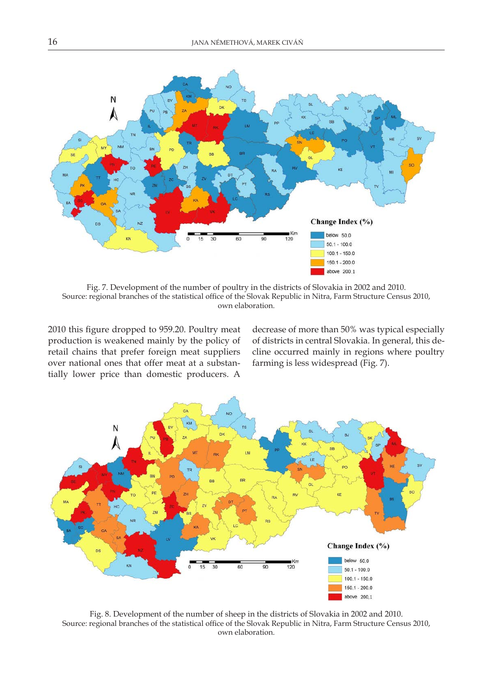

Fig. 7. Development of the number of poultry in the districts of Slovakia in 2002 and 2010. Source: regional branches of the statistical office of the Slovak Republic in Nitra, Farm Structure Census 2010, own elaboration.

2010 this figure dropped to 959.20. Poultry meat production is weakened mainly by the policy of retail chains that prefer foreign meat suppliers over national ones that offer meat at a substantially lower price than domestic producers. A

decrease of more than 50% was typical especially of districts in central Slovakia. In general, this decline occurred mainly in regions where poultry farming is less widespread (Fig. 7).



Fig. 8. Development of the number of sheep in the districts of Slovakia in 2002 and 2010. Source: regional branches of the statistical office of the Slovak Republic in Nitra, Farm Structure Census 2010, own elaboration.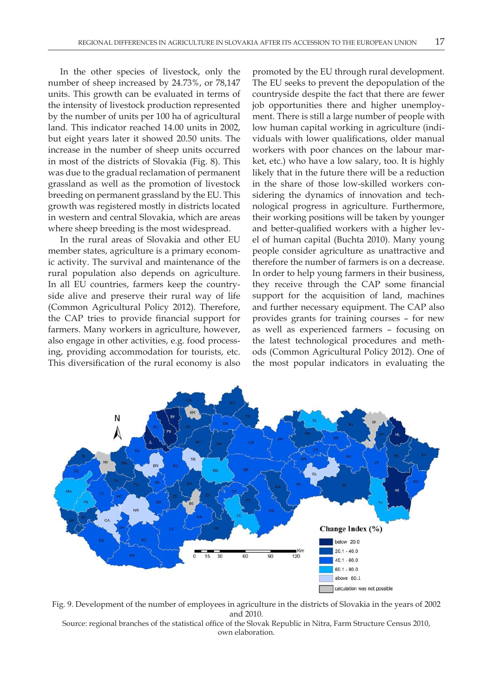In the other species of livestock, only the number of sheep increased by 24.73%, or 78,147 units. This growth can be evaluated in terms of the intensity of livestock production represented by the number of units per 100 ha of agricultural land. This indicator reached 14.00 units in 2002, but eight years later it showed 20.50 units. The increase in the number of sheep units occurred in most of the districts of Slovakia (Fig. 8). This was due to the gradual reclamation of permanent grassland as well as the promotion of livestock breeding on permanent grassland by the EU. This growth was registered mostly in districts located in western and central Slovakia, which are areas where sheep breeding is the most widespread.

In the rural areas of Slovakia and other EU member states, agriculture is a primary economic activity. The survival and maintenance of the rural population also depends on agriculture. In all EU countries, farmers keep the countryside alive and preserve their rural way of life (Common Agricultural Policy 2012). Therefore, the CAP tries to provide financial support for farmers. Many workers in agriculture, however, also engage in other activities, e.g. food processing, providing accommodation for tourists, etc. This diversification of the rural economy is also

promoted by the EU through rural development. The EU seeks to prevent the depopulation of the countryside despite the fact that there are fewer job opportunities there and higher unemployment. There is still a large number of people with low human capital working in agriculture (individuals with lower qualifications, older manual workers with poor chances on the labour market, etc.) who have a low salary, too. It is highly likely that in the future there will be a reduction in the share of those low-skilled workers considering the dynamics of innovation and technological progress in agriculture. Furthermore, their working positions will be taken by younger and better-qualified workers with a higher level of human capital (Buchta 2010). Many young people consider agriculture as unattractive and therefore the number of farmers is on a decrease. In order to help young farmers in their business, they receive through the CAP some financial support for the acquisition of land, machines and further necessary equipment. The CAP also provides grants for training courses – for new as well as experienced farmers – focusing on the latest technological procedures and methods (Common Agricultural Policy 2012). One of the most popular indicators in evaluating the



Fig. 9. Development of the number of employees in agriculture in the districts of Slovakia in the years of 2002 and 2010.

Source: regional branches of the statistical office of the Slovak Republic in Nitra, Farm Structure Census 2010, own elaboration.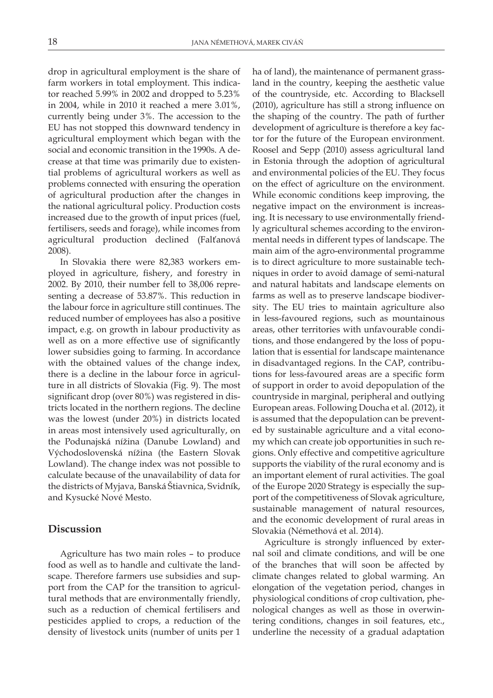drop in agricultural employment is the share of farm workers in total employment. This indicator reached 5.99% in 2002 and dropped to 5.23% in 2004, while in 2010 it reached a mere 3.01%, currently being under 3%. The accession to the EU has not stopped this downward tendency in agricultural employment which began with the social and economic transition in the 1990s. A decrease at that time was primarily due to existential problems of agricultural workers as well as problems connected with ensuring the operation of agricultural production after the changes in the national agricultural policy. Production costs increased due to the growth of input prices (fuel, fertilisers, seeds and forage), while incomes from agricultural production declined (Falťanová 2008).

In Slovakia there were 82,383 workers employed in agriculture, fishery, and forestry in 2002. By 2010, their number fell to 38,006 representing a decrease of 53.87%. This reduction in the labour force in agriculture still continues. The reduced number of employees has also a positive impact, e.g. on growth in labour productivity as well as on a more effective use of significantly lower subsidies going to farming. In accordance with the obtained values of the change index, there is a decline in the labour force in agriculture in all districts of Slovakia (Fig. 9). The most significant drop (over 80%) was registered in districts located in the northern regions. The decline was the lowest (under 20%) in districts located in areas most intensively used agriculturally, on the Podunajská nížina (Danube Lowland) and Východoslovenská nížina (the Eastern Slovak Lowland). The change index was not possible to calculate because of the unavailability of data for the districts of Myjava, Banská Štiavnica, Svidník, and Kysucké Nové Mesto.

#### **Discussion**

Agriculture has two main roles – to produce food as well as to handle and cultivate the landscape. Therefore farmers use subsidies and support from the CAP for the transition to agricultural methods that are environmentally friendly, such as a reduction of chemical fertilisers and pesticides applied to crops, a reduction of the density of livestock units (number of units per 1

ha of land), the maintenance of permanent grassland in the country, keeping the aesthetic value of the countryside, etc. According to Blacksell (2010), agriculture has still a strong influence on the shaping of the country. The path of further development of agriculture is therefore a key factor for the future of the European environment. Roosel and Sepp (2010) assess agricultural land in Estonia through the adoption of agricultural and environmental policies of the EU. They focus on the effect of agriculture on the environment. While economic conditions keep improving, the negative impact on the environment is increasing. It is necessary to use environmentally friendly agricultural schemes according to the environmental needs in different types of landscape. The main aim of the agro-environmental programme is to direct agriculture to more sustainable techniques in order to avoid damage of semi-natural and natural habitats and landscape elements on farms as well as to preserve landscape biodiversity. The EU tries to maintain agriculture also in less-favoured regions, such as mountainous areas, other territories with unfavourable conditions, and those endangered by the loss of population that is essential for landscape maintenance in disadvantaged regions. In the CAP, contributions for less-favoured areas are a specific form of support in order to avoid depopulation of the countryside in marginal, peripheral and outlying European areas. Following Doucha et al. (2012), it is assumed that the depopulation can be prevented by sustainable agriculture and a vital economy which can create job opportunities in such regions. Only effective and competitive agriculture supports the viability of the rural economy and is an important element of rural activities. The goal of the Europe 2020 Strategy is especially the support of the competitiveness of Slovak agriculture, sustainable management of natural resources, and the economic development of rural areas in Slovakia (Némethová et al. 2014).

Agriculture is strongly influenced by external soil and climate conditions, and will be one of the branches that will soon be affected by climate changes related to global warming. An elongation of the vegetation period, changes in physiological conditions of crop cultivation, phenological changes as well as those in overwintering conditions, changes in soil features, etc., underline the necessity of a gradual adaptation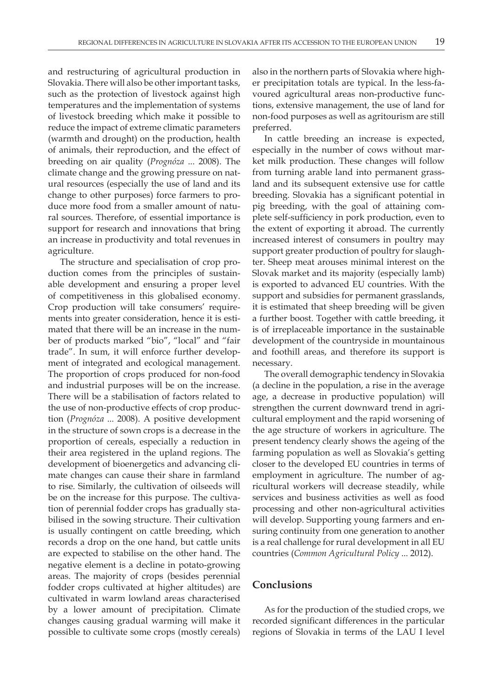and restructuring of agricultural production in Slovakia. There will also be other important tasks, such as the protection of livestock against high temperatures and the implementation of systems of livestock breeding which make it possible to reduce the impact of extreme climatic parameters (warmth and drought) on the production, health of animals, their reproduction, and the effect of breeding on air quality (*Prognóza* ... 2008). The climate change and the growing pressure on natural resources (especially the use of land and its change to other purposes) force farmers to produce more food from a smaller amount of natural sources. Therefore, of essential importance is support for research and innovations that bring an increase in productivity and total revenues in agriculture.

The structure and specialisation of crop production comes from the principles of sustainable development and ensuring a proper level of competitiveness in this globalised economy. Crop production will take consumers' requirements into greater consideration, hence it is estimated that there will be an increase in the number of products marked "bio", "local" and "fair trade". In sum, it will enforce further development of integrated and ecological management. The proportion of crops produced for non-food and industrial purposes will be on the increase. There will be a stabilisation of factors related to the use of non-productive effects of crop production (*Prognóza* ... 2008). A positive development in the structure of sown crops is a decrease in the proportion of cereals, especially a reduction in their area registered in the upland regions. The development of bioenergetics and advancing climate changes can cause their share in farmland to rise. Similarly, the cultivation of oilseeds will be on the increase for this purpose. The cultivation of perennial fodder crops has gradually stabilised in the sowing structure. Their cultivation is usually contingent on cattle breeding, which records a drop on the one hand, but cattle units are expected to stabilise on the other hand. The negative element is a decline in potato-growing areas. The majority of crops (besides perennial fodder crops cultivated at higher altitudes) are cultivated in warm lowland areas characterised by a lower amount of precipitation. Climate changes causing gradual warming will make it possible to cultivate some crops (mostly cereals)

also in the northern parts of Slovakia where higher precipitation totals are typical. In the less-favoured agricultural areas non-productive functions, extensive management, the use of land for non-food purposes as well as agritourism are still preferred.

In cattle breeding an increase is expected, especially in the number of cows without market milk production. These changes will follow from turning arable land into permanent grassland and its subsequent extensive use for cattle breeding. Slovakia has a significant potential in pig breeding, with the goal of attaining complete self-sufficiency in pork production, even to the extent of exporting it abroad. The currently increased interest of consumers in poultry may support greater production of poultry for slaughter. Sheep meat arouses minimal interest on the Slovak market and its majority (especially lamb) is exported to advanced EU countries. With the support and subsidies for permanent grasslands, it is estimated that sheep breeding will be given a further boost. Together with cattle breeding, it is of irreplaceable importance in the sustainable development of the countryside in mountainous and foothill areas, and therefore its support is necessary.

The overall demographic tendency in Slovakia (a decline in the population, a rise in the average age, a decrease in productive population) will strengthen the current downward trend in agricultural employment and the rapid worsening of the age structure of workers in agriculture. The present tendency clearly shows the ageing of the farming population as well as Slovakia's getting closer to the developed EU countries in terms of employment in agriculture. The number of agricultural workers will decrease steadily, while services and business activities as well as food processing and other non-agricultural activities will develop. Supporting young farmers and ensuring continuity from one generation to another is a real challenge for rural development in all EU countries (*Common Agricultural Policy* ... 2012).

#### **Conclusions**

As for the production of the studied crops, we recorded significant differences in the particular regions of Slovakia in terms of the LAU I level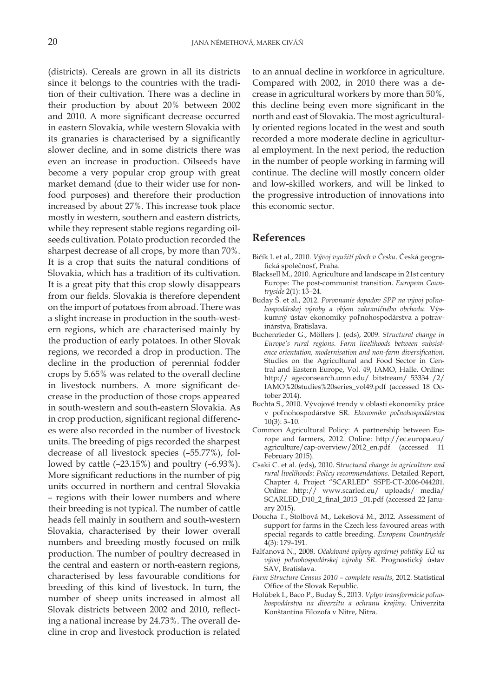(districts). Cereals are grown in all its districts since it belongs to the countries with the tradition of their cultivation. There was a decline in their production by about 20% between 2002 and 2010. A more significant decrease occurred in eastern Slovakia, while western Slovakia with its granaries is characterised by a significantly slower decline, and in some districts there was even an increase in production. Oilseeds have become a very popular crop group with great market demand (due to their wider use for nonfood purposes) and therefore their production increased by about 27%. This increase took place mostly in western, southern and eastern districts, while they represent stable regions regarding oilseeds cultivation. Potato production recorded the sharpest decrease of all crops, by more than 70%. It is a crop that suits the natural conditions of Slovakia, which has a tradition of its cultivation. It is a great pity that this crop slowly disappears from our fields. Slovakia is therefore dependent on the import of potatoes from abroad. There was a slight increase in production in the south-western regions, which are characterised mainly by the production of early potatoes. In other Slovak regions, we recorded a drop in production. The decline in the production of perennial fodder crops by 5.65% was related to the overall decline in livestock numbers. A more significant decrease in the production of those crops appeared in south-western and south-eastern Slovakia. As in crop production, significant regional differences were also recorded in the number of livestock units. The breeding of pigs recorded the sharpest decrease of all livestock species (–55.77%), followed by cattle  $(-23.15\%)$  and poultry  $(-6.93\%).$ More significant reductions in the number of pig units occurred in northern and central Slovakia – regions with their lower numbers and where their breeding is not typical. The number of cattle heads fell mainly in southern and south-western Slovakia, characterised by their lower overall numbers and breeding mostly focused on milk production. The number of poultry decreased in the central and eastern or north-eastern regions, characterised by less favourable conditions for breeding of this kind of livestock. In turn, the number of sheep units increased in almost all Slovak districts between 2002 and 2010, reflecting a national increase by 24.73%. The overall decline in crop and livestock production is related

to an annual decline in workforce in agriculture. Compared with 2002, in 2010 there was a decrease in agricultural workers by more than 50%, this decline being even more significant in the north and east of Slovakia. The most agriculturally oriented regions located in the west and south recorded a more moderate decline in agricultural employment. In the next period, the reduction in the number of people working in farming will continue. The decline will mostly concern older and low-skilled workers, and will be linked to the progressive introduction of innovations into this economic sector.

## **References**

- Bičík I. et al., 2010. *Vývoj využití ploch v Česku*. Česká geografická společnosť, Praha.
- Blacksell M., 2010. Agriculture and landscape in 21st century Europe: The post-communist transition. *European Countryside* 2(1): 13–24.
- Buday Š. et al., 2012. *Porovnanie dopadov SPP na vývoj poľnohospodárskej výroby a objem zahraničného obchodu.* Výskumný ústav ekonomiky poľnohospodárstva a potravinárstva, Bratislava.
- Buchenrieder G., Möllers J. (eds), 2009. *Structural change in Europe's rural regions. Farm livelihoods between subsistence orientation, modernisation and non-farm diversification.* Studies on the Agricultural and Food Sector in Central and Eastern Europe, Vol. 49, IAMO, Halle. Online: http:// ageconsearch.umn.edu/ bitstream/ 53334 /2/ IAMO%20studies%20series\_vol49.pdf (accessed 18 October 2014).
- Buchta S., 2010. Vývojové trendy v oblasti ekonomiky práce v poľnohospodárstve SR. *Ekonomika poľnohospodárstva* 10(3): 3–10.
- Common Agricultural Policy: A partnership between Europe and farmers, 2012. Online: http://ec.europa.eu/ agriculture/cap-overview/2012\_en.pdf (accessed 11 February 2015).
- Csaki C. et al. (eds), 2010. S*tructural change in agriculture and rural livelihoods*: *Policy recommendations.* Detailed Report, Chapter 4, Project "SCARLED" SSPE-CT-2006-044201. Online: http:// www.scarled.eu/ uploads/ media/ SCARLED\_D10\_2\_final\_2013 \_01.pdf (accessed 22 January 2015).
- Doucha T., Štolbová M., Lekešová M., 2012. Assessment of support for farms in the Czech less favoured areas with special regards to cattle breeding. *European Countryside*  4(3): 179–191.
- Falťanová N., 2008. *Očakávané vplyvy agrárnej politiky EÚ na vývoj poľnohospodárskej výroby SR*. Prognostický ústav SAV, Bratislava.
- *Farm Structure Census 2010 complete results*, 2012. Statistical Office of the Slovak Republic.
- Holúbek I., Baco P., Buday Š., 2013. *Vplyv transformácie poľnohospodárstva na diverzitu a ochranu krajiny*. Univerzita Konštantína Filozofa v Nitre, Nitra.